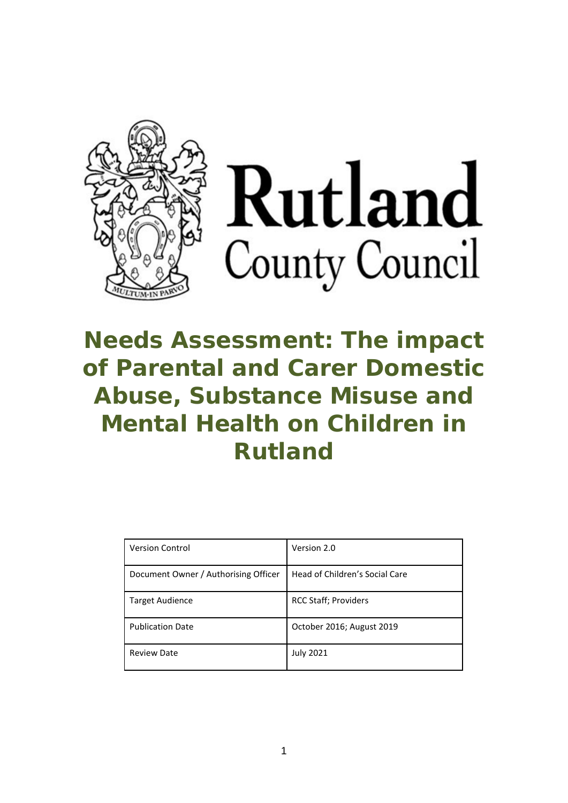

# Rutland County Council

# **Needs Assessment: The impact of Parental and Carer Domestic Abuse, Substance Misuse and Mental Health on Children in Rutland**

| <b>Version Control</b>               | Version 2.0                    |
|--------------------------------------|--------------------------------|
| Document Owner / Authorising Officer | Head of Children's Social Care |
| <b>Target Audience</b>               | <b>RCC Staff</b> ; Providers   |
| <b>Publication Date</b>              | October 2016; August 2019      |
| <b>Review Date</b>                   | <b>July 2021</b>               |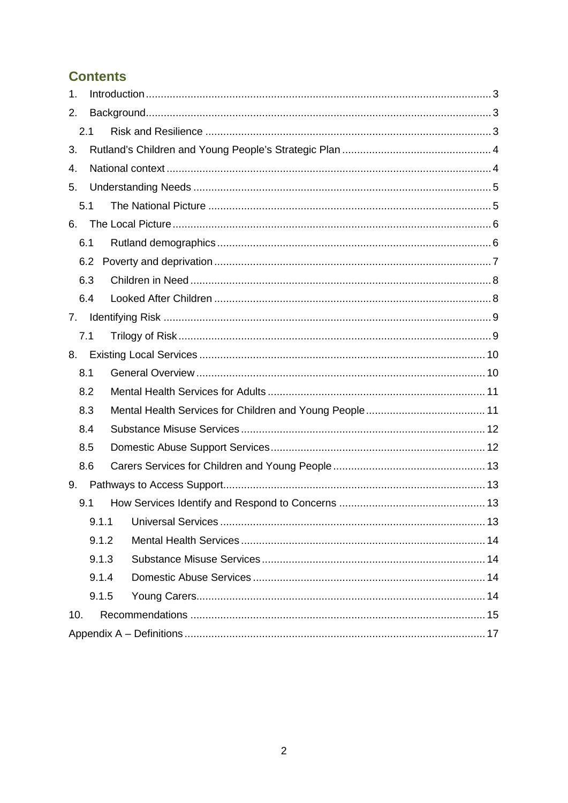# **Contents**

| 1.    |       |  |  |  |  |  |  |  |  |
|-------|-------|--|--|--|--|--|--|--|--|
| 2.    |       |  |  |  |  |  |  |  |  |
|       | 2.1   |  |  |  |  |  |  |  |  |
| 3.    |       |  |  |  |  |  |  |  |  |
| 4.    |       |  |  |  |  |  |  |  |  |
| 5.    |       |  |  |  |  |  |  |  |  |
|       | 5.1   |  |  |  |  |  |  |  |  |
| 6.    |       |  |  |  |  |  |  |  |  |
|       | 6.1   |  |  |  |  |  |  |  |  |
|       | 6.2   |  |  |  |  |  |  |  |  |
|       | 6.3   |  |  |  |  |  |  |  |  |
|       | 6.4   |  |  |  |  |  |  |  |  |
| 7.    |       |  |  |  |  |  |  |  |  |
|       | 7.1   |  |  |  |  |  |  |  |  |
| 8.    |       |  |  |  |  |  |  |  |  |
|       | 8.1   |  |  |  |  |  |  |  |  |
|       | 8.2   |  |  |  |  |  |  |  |  |
|       | 8.3   |  |  |  |  |  |  |  |  |
|       | 8.4   |  |  |  |  |  |  |  |  |
|       | 8.5   |  |  |  |  |  |  |  |  |
|       | 8.6   |  |  |  |  |  |  |  |  |
| 9.    |       |  |  |  |  |  |  |  |  |
|       | 9.1   |  |  |  |  |  |  |  |  |
|       | 9.1.1 |  |  |  |  |  |  |  |  |
|       | 9.1.2 |  |  |  |  |  |  |  |  |
| 9.1.3 |       |  |  |  |  |  |  |  |  |
| 9.1.4 |       |  |  |  |  |  |  |  |  |
|       | 9.1.5 |  |  |  |  |  |  |  |  |
| 10.   |       |  |  |  |  |  |  |  |  |
|       |       |  |  |  |  |  |  |  |  |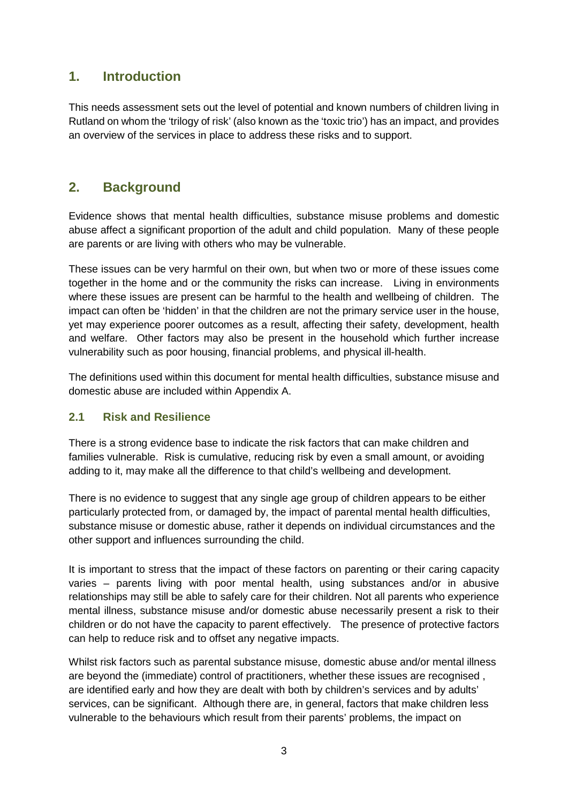# <span id="page-2-0"></span>**1. Introduction**

This needs assessment sets out the level of potential and known numbers of children living in Rutland on whom the 'trilogy of risk' (also known as the 'toxic trio') has an impact, and provides an overview of the services in place to address these risks and to support.

# <span id="page-2-1"></span>**2. Background**

Evidence shows that mental health difficulties, substance misuse problems and domestic abuse affect a significant proportion of the adult and child population. Many of these people are parents or are living with others who may be vulnerable.

These issues can be very harmful on their own, but when two or more of these issues come together in the home and or the community the risks can increase. Living in environments where these issues are present can be harmful to the health and wellbeing of children. The impact can often be 'hidden' in that the children are not the primary service user in the house, yet may experience poorer outcomes as a result, affecting their safety, development, health and welfare. Other factors may also be present in the household which further increase vulnerability such as poor housing, financial problems, and physical ill-health.

The definitions used within this document for mental health difficulties, substance misuse and domestic abuse are included within Appendix A.

#### <span id="page-2-2"></span>**2.1 Risk and Resilience**

There is a strong evidence base to indicate the risk factors that can make children and families vulnerable. Risk is cumulative, reducing risk by even a small amount, or avoiding adding to it, may make all the difference to that child's wellbeing and development.

There is no evidence to suggest that any single age group of children appears to be either particularly protected from, or damaged by, the impact of parental mental health difficulties, substance misuse or domestic abuse, rather it depends on individual circumstances and the other support and influences surrounding the child.

It is important to stress that the impact of these factors on parenting or their caring capacity varies – parents living with poor mental health, using substances and/or in abusive relationships may still be able to safely care for their children. Not all parents who experience mental illness, substance misuse and/or domestic abuse necessarily present a risk to their children or do not have the capacity to parent effectively. The presence of protective factors can help to reduce risk and to offset any negative impacts.

Whilst risk factors such as parental substance misuse, domestic abuse and/or mental illness are beyond the (immediate) control of practitioners, whether these issues are recognised , are identified early and how they are dealt with both by children's services and by adults' services, can be significant. Although there are, in general, factors that make children less vulnerable to the behaviours which result from their parents' problems, the impact on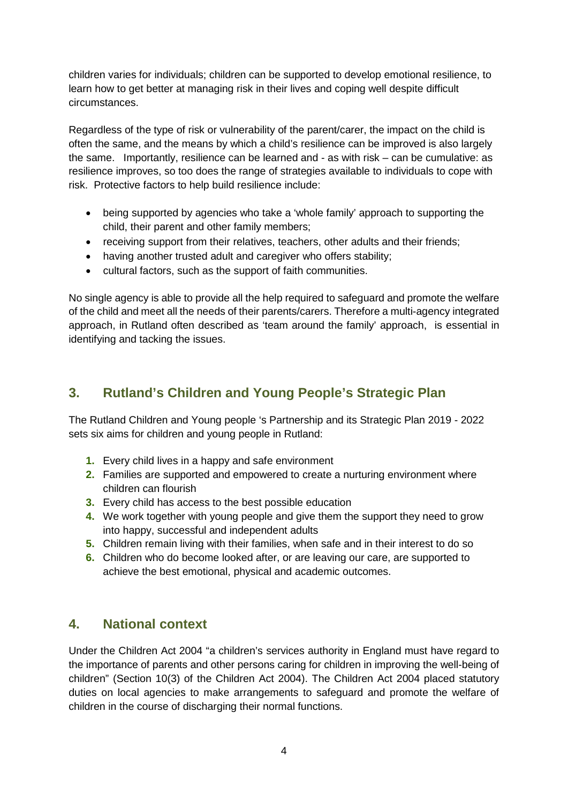children varies for individuals; children can be supported to develop emotional resilience, to learn how to get better at managing risk in their lives and coping well despite difficult circumstances.

Regardless of the type of risk or vulnerability of the parent/carer, the impact on the child is often the same, and the means by which a child's resilience can be improved is also largely the same. Importantly, resilience can be learned and - as with risk – can be cumulative: as resilience improves, so too does the range of strategies available to individuals to cope with risk. Protective factors to help build resilience include:

- being supported by agencies who take a 'whole family' approach to supporting the child, their parent and other family members;
- receiving support from their relatives, teachers, other adults and their friends;
- having another trusted adult and caregiver who offers stability:
- cultural factors, such as the support of faith communities.

No single agency is able to provide all the help required to safeguard and promote the welfare of the child and meet all the needs of their parents/carers. Therefore a multi-agency integrated approach, in Rutland often described as 'team around the family' approach, is essential in identifying and tacking the issues.

# <span id="page-3-0"></span>**3. Rutland's Children and Young People's Strategic Plan**

The Rutland Children and Young people 's Partnership and its Strategic Plan 2019 - 2022 sets six aims for children and young people in Rutland:

- **1.** Every child lives in a happy and safe environment
- **2.** Families are supported and empowered to create a nurturing environment where children can flourish
- **3.** Every child has access to the best possible education
- **4.** We work together with young people and give them the support they need to grow into happy, successful and independent adults
- **5.** Children remain living with their families, when safe and in their interest to do so
- **6.** Children who do become looked after, or are leaving our care, are supported to achieve the best emotional, physical and academic outcomes.

# <span id="page-3-1"></span>**4. National context**

Under the Children Act 2004 "a children's services authority in England must have regard to the importance of parents and other persons caring for children in improving the well-being of children" (Section 10(3) of the Children Act 2004). The Children Act 2004 placed statutory duties on local agencies to make arrangements to safeguard and promote the welfare of children in the course of discharging their normal functions.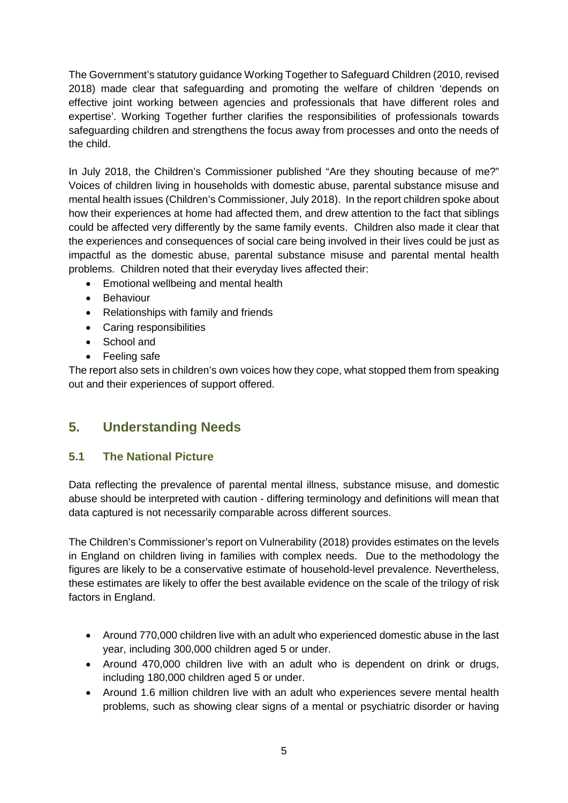The Government's statutory guidance Working Together to Safeguard Children (2010, revised 2018) made clear that safeguarding and promoting the welfare of children 'depends on effective joint working between agencies and professionals that have different roles and expertise'. Working Together further clarifies the responsibilities of professionals towards safeguarding children and strengthens the focus away from processes and onto the needs of the child.

In July 2018, the Children's Commissioner published "Are they shouting because of me?" Voices of children living in households with domestic abuse, parental substance misuse and mental health issues (Children's Commissioner, July 2018). In the report children spoke about how their experiences at home had affected them, and drew attention to the fact that siblings could be affected very differently by the same family events. Children also made it clear that the experiences and consequences of social care being involved in their lives could be just as impactful as the domestic abuse, parental substance misuse and parental mental health problems. Children noted that their everyday lives affected their:

- Emotional wellbeing and mental health
- Behaviour
- Relationships with family and friends
- Caring responsibilities
- School and
- Feeling safe

The report also sets in children's own voices how they cope, what stopped them from speaking out and their experiences of support offered.

# <span id="page-4-0"></span>**5. Understanding Needs**

#### <span id="page-4-1"></span>**5.1 The National Picture**

Data reflecting the prevalence of parental mental illness, substance misuse, and domestic abuse should be interpreted with caution - differing terminology and definitions will mean that data captured is not necessarily comparable across different sources.

The Children's Commissioner's report on Vulnerability (2018) provides estimates on the levels in England on children living in families with complex needs. Due to the methodology the figures are likely to be a conservative estimate of household-level prevalence. Nevertheless, these estimates are likely to offer the best available evidence on the scale of the trilogy of risk factors in England.

- Around 770,000 children live with an adult who experienced domestic abuse in the last year, including 300,000 children aged 5 or under.
- Around 470,000 children live with an adult who is dependent on drink or drugs, including 180,000 children aged 5 or under.
- Around 1.6 million children live with an adult who experiences severe mental health problems, such as showing clear signs of a mental or psychiatric disorder or having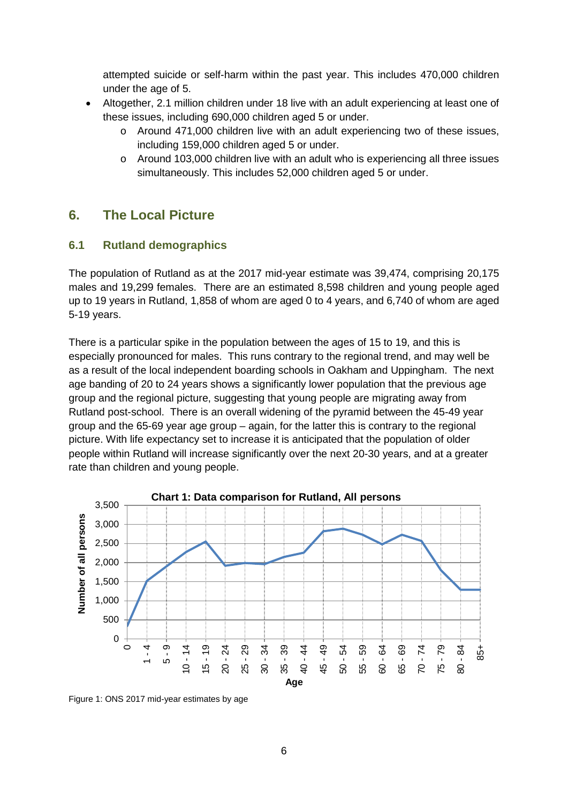attempted suicide or self-harm within the past year. This includes 470,000 children under the age of 5.

- Altogether, 2.1 million children under 18 live with an adult experiencing at least one of these issues, including 690,000 children aged 5 or under.
	- o Around 471,000 children live with an adult experiencing two of these issues, including 159,000 children aged 5 or under.
	- $\circ$  Around 103,000 children live with an adult who is experiencing all three issues simultaneously. This includes 52,000 children aged 5 or under.

# <span id="page-5-0"></span>**6. The Local Picture**

#### <span id="page-5-1"></span>**6.1 Rutland demographics**

The population of Rutland as at the 2017 mid-year estimate was 39,474, comprising 20,175 males and 19,299 females. There are an estimated 8,598 children and young people aged up to 19 years in Rutland, 1,858 of whom are aged 0 to 4 years, and 6,740 of whom are aged 5-19 years.

There is a particular spike in the population between the ages of 15 to 19, and this is especially pronounced for males. This runs contrary to the regional trend, and may well be as a result of the local independent boarding schools in Oakham and Uppingham. The next age banding of 20 to 24 years shows a significantly lower population that the previous age group and the regional picture, suggesting that young people are migrating away from Rutland post-school. There is an overall widening of the pyramid between the 45-49 year group and the 65-69 year age group – again, for the latter this is contrary to the regional picture. With life expectancy set to increase it is anticipated that the population of older people within Rutland will increase significantly over the next 20-30 years, and at a greater rate than children and young people.



Figure 1: ONS 2017 mid-year estimates by age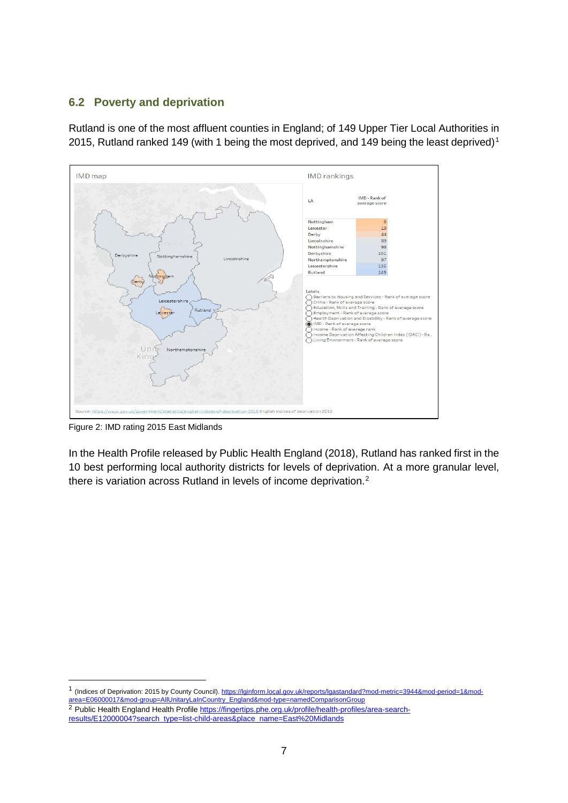#### <span id="page-6-0"></span>**6.2 Poverty and deprivation**

Rutland is one of the most affluent counties in England; of 149 Upper Tier Local Authorities in 20[1](#page-6-1)5, Rutland ranked 149 (with 1 being the most deprived, and 149 being the least deprived)<sup>1</sup>



Figure 2: IMD rating 2015 East Midlands

In the Health Profile released by Public Health England (2018), Rutland has ranked first in the 10 best performing local authority districts for levels of deprivation. At a more granular level, there is variation across Rutland in levels of income deprivation.<sup>[2](#page-6-2)</sup>

<span id="page-6-1"></span>1 (Indices of Deprivation: 2015 by County Council). [https://lginform.local.gov.uk/reports/lgastandard?mod-metric=3944&mod-period=1&mod](https://lginform.local.gov.uk/reports/lgastandard?mod-metric=3944&mod-period=1&mod-area=E06000017&mod-group=AllUnitaryLaInCountry_England&mod-type=namedComparisonGroup)[area=E06000017&mod-group=AllUnitaryLaInCountry\\_England&mod-type=namedComparisonGroup](https://lginform.local.gov.uk/reports/lgastandard?mod-metric=3944&mod-period=1&mod-area=E06000017&mod-group=AllUnitaryLaInCountry_England&mod-type=namedComparisonGroup) <sup>2</sup> Public Health England Health Profil[e https://fingertips.phe.org.uk/profile/health-profiles/area-search-](https://fingertips.phe.org.uk/profile/health-profiles/area-search-results/E12000004?search_type=list-child-areas&place_name=East%20Midlands)

<span id="page-6-2"></span>[results/E12000004?search\\_type=list-child-areas&place\\_name=East%20Midlands](https://fingertips.phe.org.uk/profile/health-profiles/area-search-results/E12000004?search_type=list-child-areas&place_name=East%20Midlands)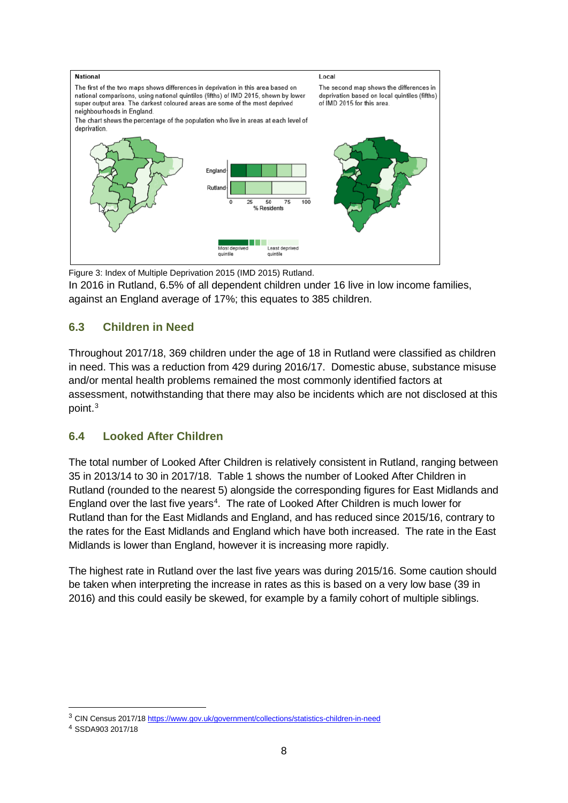

Figure 3: Index of Multiple Deprivation 2015 (IMD 2015) Rutland.

In 2016 in Rutland, 6.5% of all dependent children under 16 live in low income families, against an England average of 17%; this equates to 385 children.

#### <span id="page-7-0"></span>**6.3 Children in Need**

Throughout 2017/18, 369 children under the age of 18 in Rutland were classified as children in need. This was a reduction from 429 during 2016/17. Domestic abuse, substance misuse and/or mental health problems remained the most commonly identified factors at assessment, notwithstanding that there may also be incidents which are not disclosed at this point. [3](#page-7-2)

#### <span id="page-7-1"></span>**6.4 Looked After Children**

The total number of Looked After Children is relatively consistent in Rutland, ranging between 35 in 2013/14 to 30 in 2017/18. Table 1 shows the number of Looked After Children in Rutland (rounded to the nearest 5) alongside the corresponding figures for East Midlands and England over the last five years<sup>4</sup>. The rate of Looked After Children is much lower for Rutland than for the East Midlands and England, and has reduced since 2015/16, contrary to the rates for the East Midlands and England which have both increased. The rate in the East Midlands is lower than England, however it is increasing more rapidly.

The highest rate in Rutland over the last five years was during 2015/16. Some caution should be taken when interpreting the increase in rates as this is based on a very low base (39 in 2016) and this could easily be skewed, for example by a family cohort of multiple siblings.

<span id="page-7-2"></span> <sup>3</sup> CIN Census 2017/18 <https://www.gov.uk/government/collections/statistics-children-in-need>

<span id="page-7-3"></span><sup>4</sup> SSDA903 2017/18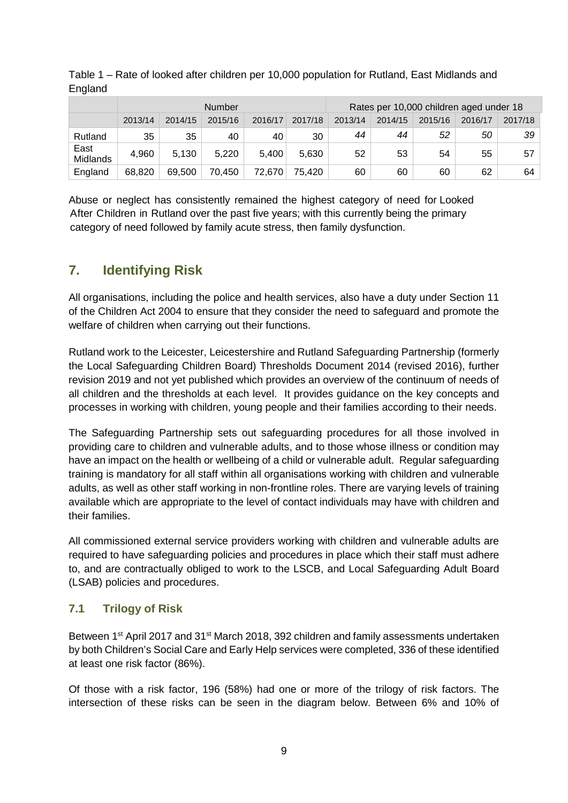|                         |         |         | <b>Number</b> |         |         | Rates per 10,000 children aged under 18 |         |         |         |         |
|-------------------------|---------|---------|---------------|---------|---------|-----------------------------------------|---------|---------|---------|---------|
|                         | 2013/14 | 2014/15 | 2015/16       | 2016/17 | 2017/18 | 2013/14                                 | 2014/15 | 2015/16 | 2016/17 | 2017/18 |
| Rutland                 | 35      | 35      | 40            | 40      | 30      | 44                                      | 44      | 52      | 50      | 39      |
| East<br><b>Midlands</b> | 4,960   | 5,130   | 5,220         | 5,400   | 5.630   | 52                                      | 53      | 54      | 55      | 57      |
| England                 | 68.820  | 69,500  | 70,450        | 72,670  | 75.420  | 60                                      | 60      | 60      | 62      | 64      |

Table 1 – Rate of looked after children per 10,000 population for Rutland, East Midlands and England

Abuse or neglect has consistently remained the highest category of need for Looked After Children in Rutland over the past five years; with this currently being the primary category of need followed by family acute stress, then family dysfunction.

# <span id="page-8-0"></span>**7. Identifying Risk**

All organisations, including the police and health services, also have a duty under Section 11 of the Children Act 2004 to ensure that they consider the need to safeguard and promote the welfare of children when carrying out their functions.

Rutland work to the Leicester, Leicestershire and Rutland Safeguarding Partnership (formerly the Local Safeguarding Children Board) Thresholds Document 2014 (revised 2016), further revision 2019 and not yet published which provides an overview of the continuum of needs of all children and the thresholds at each level. It provides guidance on the key concepts and processes in working with children, young people and their families according to their needs.

The Safeguarding Partnership sets out safeguarding procedures for all those involved in providing care to children and vulnerable adults, and to those whose illness or condition may have an impact on the health or wellbeing of a child or vulnerable adult. Regular safeguarding training is mandatory for all staff within all organisations working with children and vulnerable adults, as well as other staff working in non-frontline roles. There are varying levels of training available which are appropriate to the level of contact individuals may have with children and their families.

All commissioned external service providers working with children and vulnerable adults are required to have safeguarding policies and procedures in place which their staff must adhere to, and are contractually obliged to work to the LSCB, and Local Safeguarding Adult Board (LSAB) policies and procedures.

#### <span id="page-8-1"></span>**7.1 Trilogy of Risk**

Between 1<sup>st</sup> April 2017 and 31<sup>st</sup> March 2018, 392 children and family assessments undertaken by both Children's Social Care and Early Help services were completed, 336 of these identified at least one risk factor (86%).

Of those with a risk factor, 196 (58%) had one or more of the trilogy of risk factors. The intersection of these risks can be seen in the diagram below. Between 6% and 10% of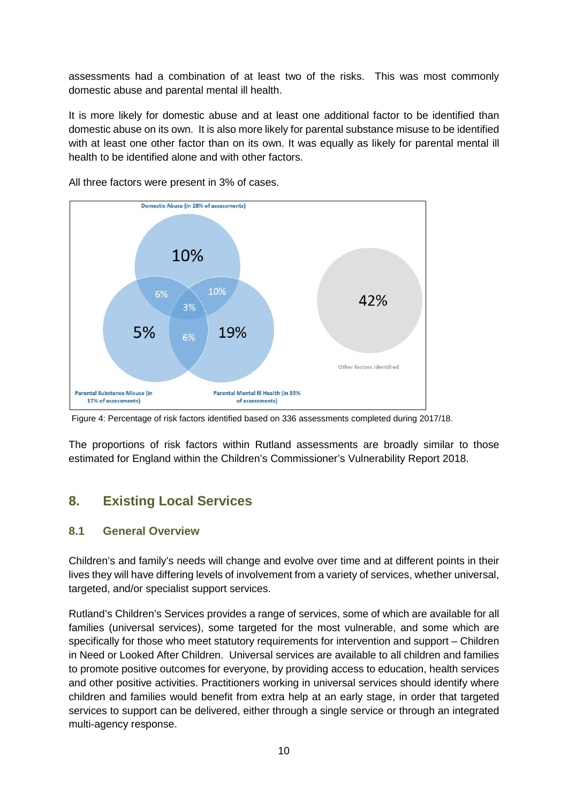assessments had a combination of at least two of the risks. This was most commonly domestic abuse and parental mental ill health.

It is more likely for domestic abuse and at least one additional factor to be identified than domestic abuse on its own. It is also more likely for parental substance misuse to be identified with at least one other factor than on its own. It was equally as likely for parental mental ill health to be identified alone and with other factors.



All three factors were present in 3% of cases.

The proportions of risk factors within Rutland assessments are broadly similar to those estimated for England within the Children's Commissioner's Vulnerability Report 2018.

# <span id="page-9-0"></span>**8. Existing Local Services**

#### <span id="page-9-1"></span>**8.1 General Overview**

Children's and family's needs will change and evolve over time and at different points in their lives they will have differing levels of involvement from a variety of services, whether universal, targeted, and/or specialist support services.

Rutland's Children's Services provides a range of services, some of which are available for all families (universal services), some targeted for the most vulnerable, and some which are specifically for those who meet statutory requirements for intervention and support – Children in Need or Looked After Children. Universal services are available to all children and families to promote positive outcomes for everyone, by providing access to education, health services and other positive activities. Practitioners working in universal services should identify where children and families would benefit from extra help at an early stage, in order that targeted services to support can be delivered, either through a single service or through an integrated multi-agency response.

Figure 4: Percentage of risk factors identified based on 336 assessments completed during 2017/18.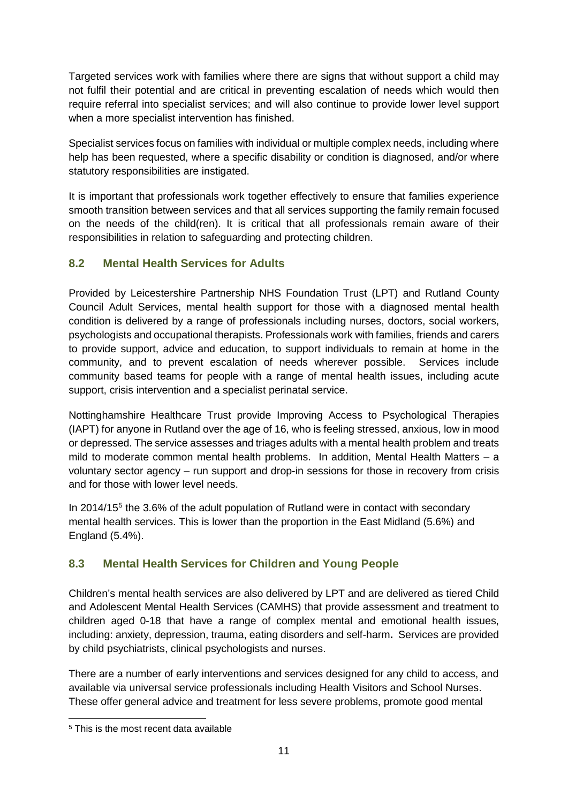Targeted services work with families where there are signs that without support a child may not fulfil their potential and are critical in preventing escalation of needs which would then require referral into specialist services; and will also continue to provide lower level support when a more specialist intervention has finished.

Specialist services focus on families with individual or multiple complex needs, including where help has been requested, where a specific disability or condition is diagnosed, and/or where statutory responsibilities are instigated.

It is important that professionals work together effectively to ensure that families experience smooth transition between services and that all services supporting the family remain focused on the needs of the child(ren). It is critical that all professionals remain aware of their responsibilities in relation to safeguarding and protecting children.

#### <span id="page-10-0"></span>**8.2 Mental Health Services for Adults**

Provided by Leicestershire Partnership NHS Foundation Trust (LPT) and Rutland County Council Adult Services, mental health support for those with a diagnosed mental health condition is delivered by a range of professionals including nurses, doctors, social workers, psychologists and occupational therapists. Professionals work with families, friends and carers to provide support, advice and education, to support individuals to remain at home in the community, and to prevent escalation of needs wherever possible. Services include community based teams for people with a range of mental health issues, including acute support, crisis intervention and a specialist perinatal service.

Nottinghamshire Healthcare Trust provide Improving Access to Psychological Therapies (IAPT) for anyone in Rutland over the age of 16, who is feeling stressed, anxious, low in mood or depressed. The service assesses and triages adults with a mental health problem and treats mild to moderate common mental health problems. In addition, Mental Health Matters – a voluntary sector agency – run support and drop-in sessions for those in recovery from crisis and for those with lower level needs.

In 2014/1[5](#page-10-2)<sup>5</sup> the 3.6% of the adult population of Rutland were in contact with secondary mental health services. This is lower than the proportion in the East Midland (5.6%) and England (5.4%).

### <span id="page-10-1"></span>**8.3 Mental Health Services for Children and Young People**

Children's mental health services are also delivered by LPT and are delivered as tiered Child and Adolescent Mental Health Services (CAMHS) that provide assessment and treatment to children aged 0-18 that have a range of complex mental and emotional health issues, including: anxiety, depression, trauma, eating disorders and self-harm**.** Services are provided by child psychiatrists, clinical psychologists and nurses.

There are a number of early interventions and services designed for any child to access, and available via universal service professionals including Health Visitors and School Nurses. These offer general advice and treatment for less severe problems, promote good mental

<span id="page-10-2"></span> <sup>5</sup> This is the most recent data available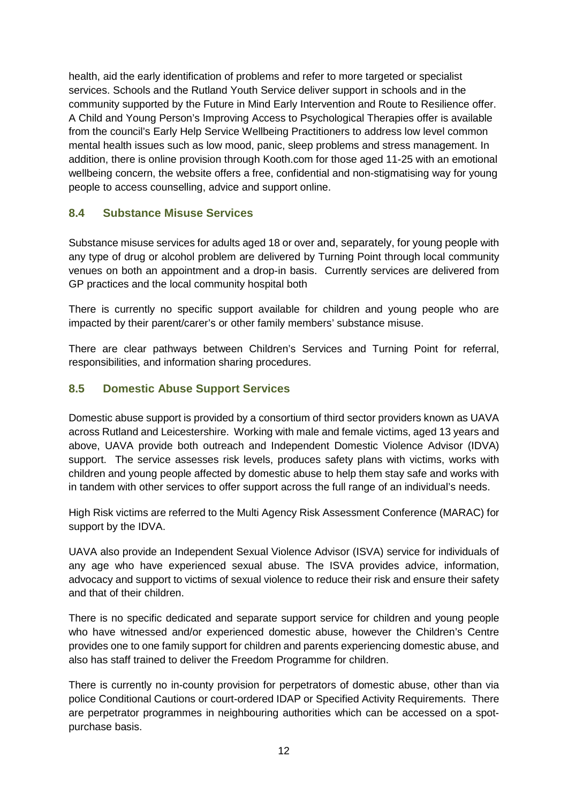health, aid the early identification of problems and refer to more targeted or specialist services. Schools and the Rutland Youth Service deliver support in schools and in the community supported by the Future in Mind Early Intervention and Route to Resilience offer. A Child and Young Person's Improving Access to Psychological Therapies offer is available from the council's Early Help Service Wellbeing Practitioners to address low level common mental health issues such as low mood, panic, sleep problems and stress management. In addition, there is online provision through Kooth.com for those aged 11-25 with an emotional wellbeing concern, the website offers a free, confidential and non-stigmatising way for young people to access counselling, advice and support online.

#### <span id="page-11-0"></span>**8.4 Substance Misuse Services**

Substance misuse services for adults aged 18 or over and, separately, for young people with any type of drug or alcohol problem are delivered by Turning Point through local community venues on both an appointment and a drop-in basis. Currently services are delivered from GP practices and the local community hospital both

There is currently no specific support available for children and young people who are impacted by their parent/carer's or other family members' substance misuse.

There are clear pathways between Children's Services and Turning Point for referral, responsibilities, and information sharing procedures.

#### <span id="page-11-1"></span>**8.5 Domestic Abuse Support Services**

Domestic abuse support is provided by a consortium of third sector providers known as UAVA across Rutland and Leicestershire. Working with male and female victims, aged 13 years and above, UAVA provide both outreach and Independent Domestic Violence Advisor (IDVA) support. The service assesses risk levels, produces safety plans with victims, works with children and young people affected by domestic abuse to help them stay safe and works with in tandem with other services to offer support across the full range of an individual's needs.

High Risk victims are referred to the Multi Agency Risk Assessment Conference (MARAC) for support by the IDVA.

UAVA also provide an Independent Sexual Violence Advisor (ISVA) service for individuals of any age who have experienced sexual abuse. The ISVA provides advice, information, advocacy and support to victims of sexual violence to reduce their risk and ensure their safety and that of their children.

There is no specific dedicated and separate support service for children and young people who have witnessed and/or experienced domestic abuse, however the Children's Centre provides one to one family support for children and parents experiencing domestic abuse, and also has staff trained to deliver the Freedom Programme for children.

There is currently no in-county provision for perpetrators of domestic abuse, other than via police Conditional Cautions or court-ordered IDAP or Specified Activity Requirements. There are perpetrator programmes in neighbouring authorities which can be accessed on a spotpurchase basis.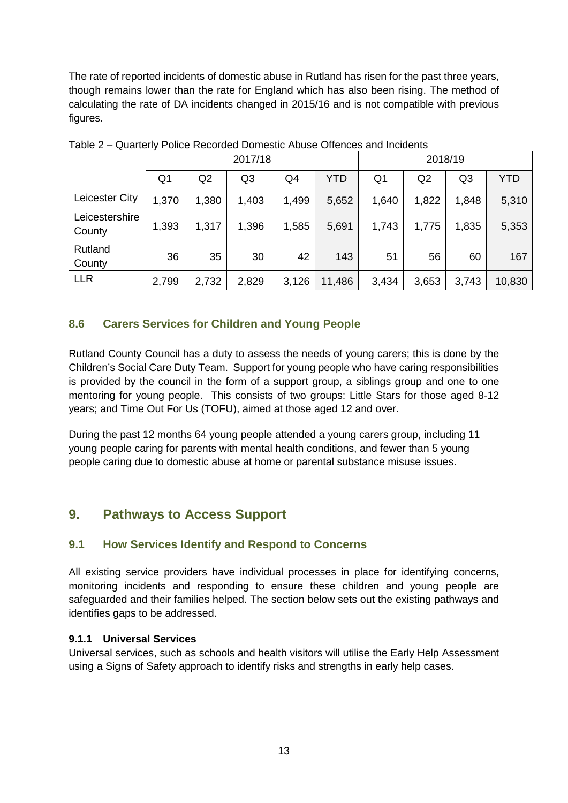The rate of reported incidents of domestic abuse in Rutland has risen for the past three years, though remains lower than the rate for England which has also been rising. The method of calculating the rate of DA incidents changed in 2015/16 and is not compatible with previous figures.

|                          | 2017/18        |       |       |                |        | 2018/19        |       |                |            |
|--------------------------|----------------|-------|-------|----------------|--------|----------------|-------|----------------|------------|
|                          | Q <sub>1</sub> | Q2    | Q3    | Q <sub>4</sub> | YTD    | Q <sub>1</sub> | Q2    | Q <sub>3</sub> | <b>YTD</b> |
| Leicester City           | 1,370          | 1,380 | 1,403 | 1,499          | 5,652  | 1,640          | 1,822 | 1,848          | 5,310      |
| Leicestershire<br>County | 1,393          | 1,317 | 1,396 | 1,585          | 5,691  | 1,743          | 1,775 | 1,835          | 5,353      |
| Rutland<br>County        | 36             | 35    | 30    | 42             | 143    | 51             | 56    | 60             | 167        |
| <b>LLR</b>               | 2,799          | 2,732 | 2,829 | 3,126          | 11,486 | 3,434          | 3,653 | 3,743          | 10,830     |

Table 2 – Quarterly Police Recorded Domestic Abuse Offences and Incidents

#### <span id="page-12-0"></span>**8.6 Carers Services for Children and Young People**

Rutland County Council has a duty to assess the needs of young carers; this is done by the Children's Social Care Duty Team. Support for young people who have caring responsibilities is provided by the council in the form of a support group, a siblings group and one to one mentoring for young people. This consists of two groups: Little Stars for those aged 8-12 years; and Time Out For Us (TOFU), aimed at those aged 12 and over.

During the past 12 months 64 young people attended a young carers group, including 11 young people caring for parents with mental health conditions, and fewer than 5 young people caring due to domestic abuse at home or parental substance misuse issues.

# <span id="page-12-1"></span>**9. Pathways to Access Support**

#### <span id="page-12-2"></span>**9.1 How Services Identify and Respond to Concerns**

All existing service providers have individual processes in place for identifying concerns, monitoring incidents and responding to ensure these children and young people are safeguarded and their families helped. The section below sets out the existing pathways and identifies gaps to be addressed.

#### <span id="page-12-3"></span>**9.1.1 Universal Services**

Universal services, such as schools and health visitors will utilise the Early Help Assessment using a Signs of Safety approach to identify risks and strengths in early help cases.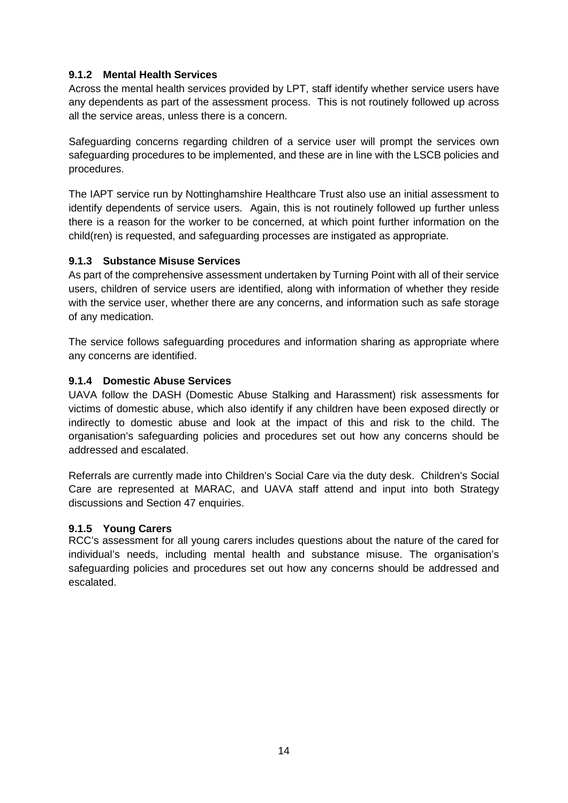#### <span id="page-13-0"></span>**9.1.2 Mental Health Services**

Across the mental health services provided by LPT, staff identify whether service users have any dependents as part of the assessment process. This is not routinely followed up across all the service areas, unless there is a concern.

Safeguarding concerns regarding children of a service user will prompt the services own safeguarding procedures to be implemented, and these are in line with the LSCB policies and procedures.

The IAPT service run by Nottinghamshire Healthcare Trust also use an initial assessment to identify dependents of service users. Again, this is not routinely followed up further unless there is a reason for the worker to be concerned, at which point further information on the child(ren) is requested, and safeguarding processes are instigated as appropriate.

#### <span id="page-13-1"></span>**9.1.3 Substance Misuse Services**

As part of the comprehensive assessment undertaken by Turning Point with all of their service users, children of service users are identified, along with information of whether they reside with the service user, whether there are any concerns, and information such as safe storage of any medication.

The service follows safeguarding procedures and information sharing as appropriate where any concerns are identified.

#### <span id="page-13-2"></span>**9.1.4 Domestic Abuse Services**

UAVA follow the DASH (Domestic Abuse Stalking and Harassment) risk assessments for victims of domestic abuse, which also identify if any children have been exposed directly or indirectly to domestic abuse and look at the impact of this and risk to the child. The organisation's safeguarding policies and procedures set out how any concerns should be addressed and escalated.

Referrals are currently made into Children's Social Care via the duty desk. Children's Social Care are represented at MARAC, and UAVA staff attend and input into both Strategy discussions and Section 47 enquiries.

#### <span id="page-13-3"></span>**9.1.5 Young Carers**

RCC's assessment for all young carers includes questions about the nature of the cared for individual's needs, including mental health and substance misuse. The organisation's safeguarding policies and procedures set out how any concerns should be addressed and escalated.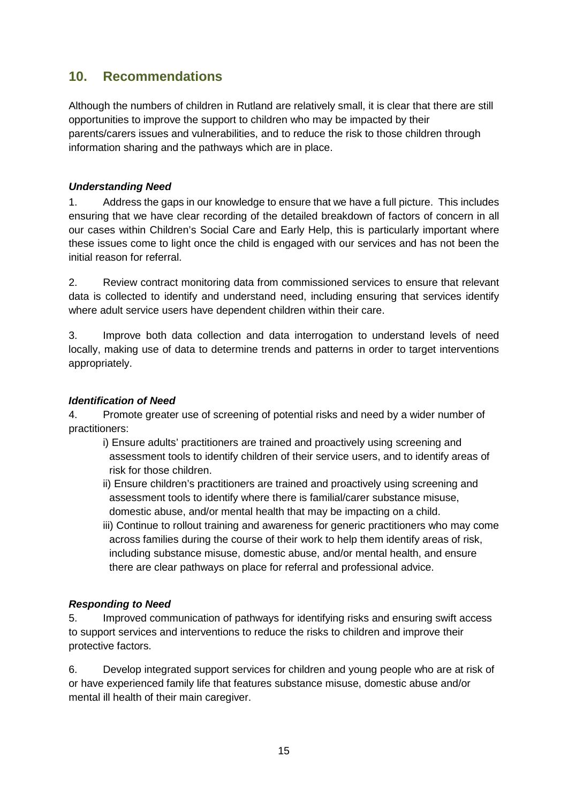# <span id="page-14-0"></span>**10. Recommendations**

Although the numbers of children in Rutland are relatively small, it is clear that there are still opportunities to improve the support to children who may be impacted by their parents/carers issues and vulnerabilities, and to reduce the risk to those children through information sharing and the pathways which are in place.

#### *Understanding Need*

1. Address the gaps in our knowledge to ensure that we have a full picture. This includes ensuring that we have clear recording of the detailed breakdown of factors of concern in all our cases within Children's Social Care and Early Help, this is particularly important where these issues come to light once the child is engaged with our services and has not been the initial reason for referral.

2. Review contract monitoring data from commissioned services to ensure that relevant data is collected to identify and understand need, including ensuring that services identify where adult service users have dependent children within their care.

3. Improve both data collection and data interrogation to understand levels of need locally, making use of data to determine trends and patterns in order to target interventions appropriately.

#### *Identification of Need*

4. Promote greater use of screening of potential risks and need by a wider number of practitioners:

- i) Ensure adults' practitioners are trained and proactively using screening and assessment tools to identify children of their service users, and to identify areas of risk for those children.
- ii) Ensure children's practitioners are trained and proactively using screening and assessment tools to identify where there is familial/carer substance misuse, domestic abuse, and/or mental health that may be impacting on a child.
- iii) Continue to rollout training and awareness for generic practitioners who may come across families during the course of their work to help them identify areas of risk, including substance misuse, domestic abuse, and/or mental health, and ensure there are clear pathways on place for referral and professional advice.

#### *Responding to Need*

5. Improved communication of pathways for identifying risks and ensuring swift access to support services and interventions to reduce the risks to children and improve their protective factors.

6. Develop integrated support services for children and young people who are at risk of or have experienced family life that features substance misuse, domestic abuse and/or mental ill health of their main caregiver.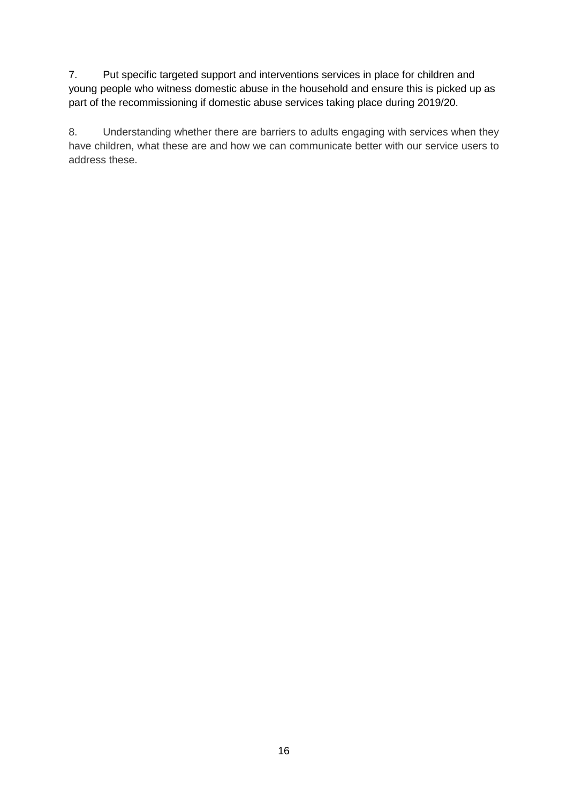7. Put specific targeted support and interventions services in place for children and young people who witness domestic abuse in the household and ensure this is picked up as part of the recommissioning if domestic abuse services taking place during 2019/20.

8. Understanding whether there are barriers to adults engaging with services when they have children, what these are and how we can communicate better with our service users to address these.